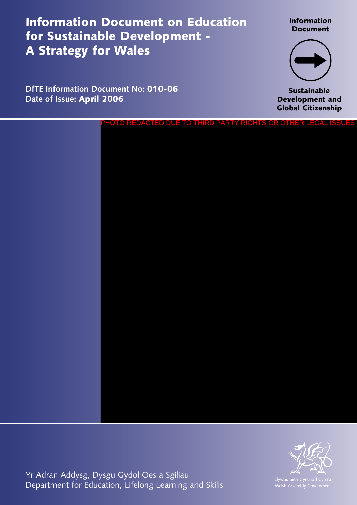Information Document on Education for Sustainable Development - A Strategy for Wales

**DfTE Information Document No:** 010-06

**Date of Issue:** April 2006

Information Document



**Sustainable** Development and Global Citizenship

PHOTO REDACTED DUE TO THIRD PARTY RIGHTS OR OTHER LEGAL ISSUES



Yr Adran Addysg, Dysgu Gydol Oes a Sgiliau Department for Education, Lifelong Learning and Skills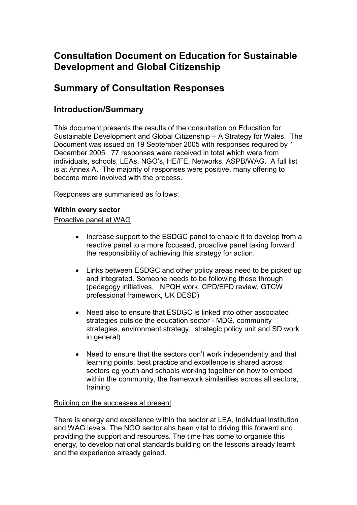# **Consultation Document on Education for Sustainable Development and Global Citizenship**

# **Summary of Consultation Responses**

# **Introduction/Summary**

This document presents the results of the consultation on Education for Sustainable Development and Global Citizenship – A Strategy for Wales. The Document was issued on 19 September 2005 with responses required by 1 December 2005. 77 responses were received in total which were from individuals, schools, LEAs, NGO's, HE/FE, Networks, ASPB/WAG. A full list is at Annex A. The majority of responses were positive, many offering to become more involved with the process.

Responses are summarised as follows:

# **Within every sector**

# Proactive panel at WAG

- Increase support to the ESDGC panel to enable it to develop from a reactive panel to a more focussed, proactive panel taking forward the responsibility of achieving this strategy for action.
- Links between ESDGC and other policy areas need to be picked up and integrated. Someone needs to be following these through (pedagogy initiatives, NPQH work, CPD/EPD review, GTCW professional framework, UK DESD)
- Need also to ensure that ESDGC is linked into other associated strategies outside the education sector - MDG, community strategies, environment strategy, strategic policy unit and SD work in general)
- Need to ensure that the sectors don't work independently and that learning points, best practice and excellence is shared across sectors eg youth and schools working together on how to embed within the community, the framework similarities across all sectors, training

# Building on the successes at present

There is energy and excellence within the sector at LEA, Individual institution and WAG levels. The NGO sector ahs been vital to driving this forward and providing the support and resources. The time has come to organise this energy, to develop national standards building on the lessons already learnt and the experience already gained.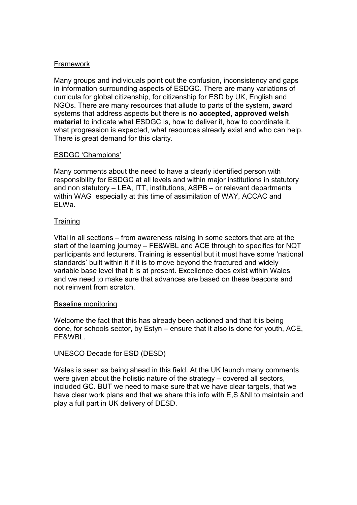#### Framework

Many groups and individuals point out the confusion, inconsistency and gaps in information surrounding aspects of ESDGC. There are many variations of curricula for global citizenship, for citizenship for ESD by UK, English and NGOs. There are many resources that allude to parts of the system, award systems that address aspects but there is **no accepted, approved welsh material** to indicate what ESDGC is, how to deliver it, how to coordinate it, what progression is expected, what resources already exist and who can help. There is great demand for this clarity.

# ESDGC 'Champions'

Many comments about the need to have a clearly identified person with responsibility for ESDGC at all levels and within major institutions in statutory and non statutory – LEA, ITT, institutions, ASPB – or relevant departments within WAG especially at this time of assimilation of WAY, ACCAC and ELWa.

# **Training**

Vital in all sections – from awareness raising in some sectors that are at the start of the learning journey – FE&WBL and ACE through to specifics for NQT participants and lecturers. Training is essential but it must have some 'national standards' built within it if it is to move beyond the fractured and widely variable base level that it is at present. Excellence does exist within Wales and we need to make sure that advances are based on these beacons and not reinvent from scratch.

# Baseline monitoring

Welcome the fact that this has already been actioned and that it is being done, for schools sector, by Estyn – ensure that it also is done for youth, ACE, FE&WBL.

# UNESCO Decade for ESD (DESD)

Wales is seen as being ahead in this field. At the UK launch many comments were given about the holistic nature of the strategy – covered all sectors, included GC. BUT we need to make sure that we have clear targets, that we have clear work plans and that we share this info with E,S &NI to maintain and play a full part in UK delivery of DESD.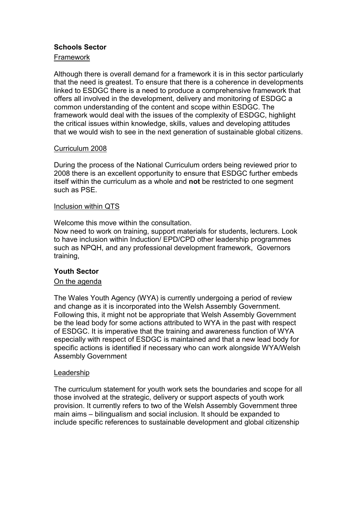# **Schools Sector**

# Framework

Although there is overall demand for a framework it is in this sector particularly that the need is greatest. To ensure that there is a coherence in developments linked to ESDGC there is a need to produce a comprehensive framework that offers all involved in the development, delivery and monitoring of ESDGC a common understanding of the content and scope within ESDGC. The framework would deal with the issues of the complexity of ESDGC, highlight the critical issues within knowledge, skills, values and developing attitudes that we would wish to see in the next generation of sustainable global citizens.

# Curriculum 2008

During the process of the National Curriculum orders being reviewed prior to 2008 there is an excellent opportunity to ensure that ESDGC further embeds itself within the curriculum as a whole and **not** be restricted to one segment such as PSE.

#### Inclusion within QTS

Welcome this move within the consultation.

Now need to work on training, support materials for students, lecturers. Look to have inclusion within Induction/ EPD/CPD other leadership programmes such as NPQH, and any professional development framework, Governors training,

# **Youth Sector**

# On the agenda

The Wales Youth Agency (WYA) is currently undergoing a period of review and change as it is incorporated into the Welsh Assembly Government. Following this, it might not be appropriate that Welsh Assembly Government be the lead body for some actions attributed to WYA in the past with respect of ESDGC. It is imperative that the training and awareness function of WYA especially with respect of ESDGC is maintained and that a new lead body for specific actions is identified if necessary who can work alongside WYA/Welsh Assembly Government

#### Leadership

The curriculum statement for youth work sets the boundaries and scope for all those involved at the strategic, delivery or support aspects of youth work provision. It currently refers to two of the Welsh Assembly Government three main aims – bilingualism and social inclusion. It should be expanded to include specific references to sustainable development and global citizenship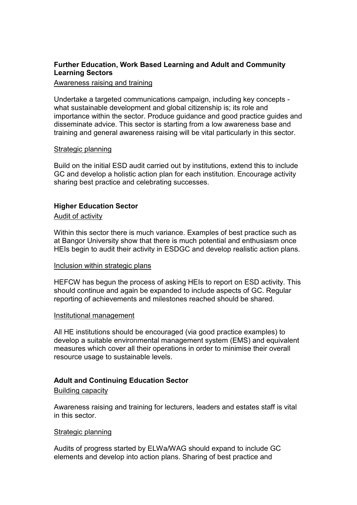# **Further Education, Work Based Learning and Adult and Community Learning Sectors**

#### Awareness raising and training

Undertake a targeted communications campaign, including key concepts what sustainable development and global citizenship is; its role and importance within the sector. Produce guidance and good practice guides and disseminate advice. This sector is starting from a low awareness base and training and general awareness raising will be vital particularly in this sector.

#### Strategic planning

Build on the initial ESD audit carried out by institutions, extend this to include GC and develop a holistic action plan for each institution. Encourage activity sharing best practice and celebrating successes.

# **Higher Education Sector**

#### Audit of activity

Within this sector there is much variance. Examples of best practice such as at Bangor University show that there is much potential and enthusiasm once HEIs begin to audit their activity in ESDGC and develop realistic action plans.

#### Inclusion within strategic plans

HEFCW has begun the process of asking HEIs to report on ESD activity. This should continue and again be expanded to include aspects of GC. Regular reporting of achievements and milestones reached should be shared.

#### Institutional management

All HE institutions should be encouraged (via good practice examples) to develop a suitable environmental management system (EMS) and equivalent measures which cover all their operations in order to minimise their overall resource usage to sustainable levels.

# **Adult and Continuing Education Sector**

#### Building capacity

Awareness raising and training for lecturers, leaders and estates staff is vital in this sector.

#### Strategic planning

Audits of progress started by ELWa/WAG should expand to include GC elements and develop into action plans. Sharing of best practice and